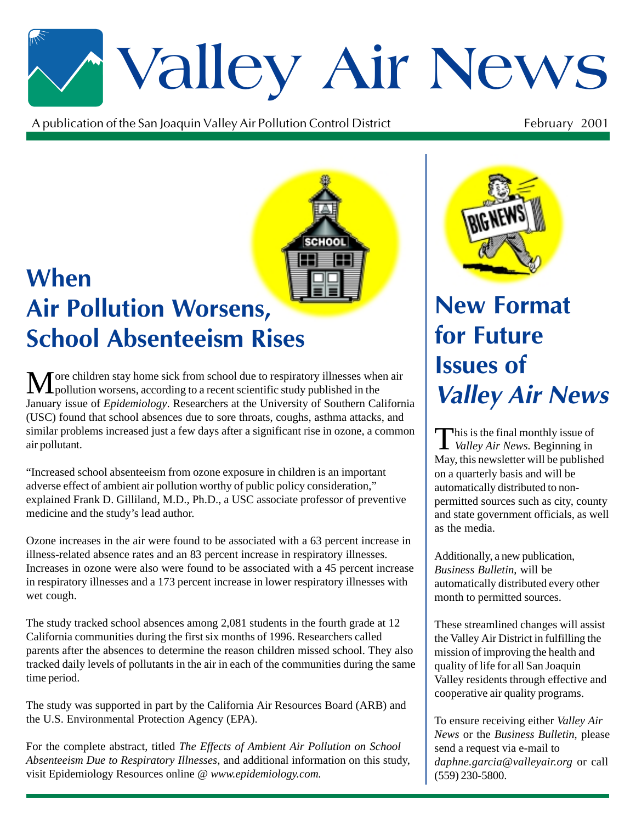# \*Valley Air News

A publication of the San Joaquin Valley Air Pollution Control District  $\mathfrak{t}$  February 2001



### **When Air Pollution Worsens, School Absenteeism Rises**

More children stay home sick from school due to respiratory illnesses when air<br>pollution worsens, according to a recent scientific study published in the January issue of *Epidemiology*. Researchers at the University of Southern California (USC) found that school absences due to sore throats, coughs, asthma attacks, and similar problems increased just a few days after a significant rise in ozone, a common air pollutant.

"Increased school absenteeism from ozone exposure in children is an important adverse effect of ambient air pollution worthy of public policy consideration," explained Frank D. Gilliland, M.D., Ph.D., a USC associate professor of preventive medicine and the study's lead author.

Ozone increases in the air were found to be associated with a 63 percent increase in illness-related absence rates and an 83 percent increase in respiratory illnesses. Increases in ozone were also were found to be associated with a 45 percent increase in respiratory illnesses and a 173 percent increase in lower respiratory illnesses with wet cough.

The study tracked school absences among 2,081 students in the fourth grade at 12 California communities during the first six months of 1996. Researchers called parents after the absences to determine the reason children missed school. They also tracked daily levels of pollutants in the air in each of the communities during the same time period.

The study was supported in part by the California Air Resources Board (ARB) and the U.S. Environmental Protection Agency (EPA).

For the complete abstract, titled *The Effects of Ambient Air Pollution on School Absenteeism Due to Respiratory Illnesses,* and additional information on this study, visit Epidemiology Resources online @ *www.epidemiology.com.*



### **New Format** for Future **Issues of Valley Air News**

This is the final monthly issue of *Valley Air News*. Beginning in May, this newsletter will be published on a quarterly basis and will be automatically distributed to nonpermitted sources such as city, county and state government officials, as well as the media.

Additionally, a new publication, *Business Bulletin*, will be automatically distributed every other month to permitted sources.

These streamlined changes will assist the Valley Air District in fulfilling the mission of improving the health and quality of life for all San Joaquin Valley residents through effective and cooperative air quality programs.

To ensure receiving either *Valley Air News* or the *Business Bulletin*, please send a request via e-mail to *daphne.garcia@valleyair.org* or call (559) 230-5800.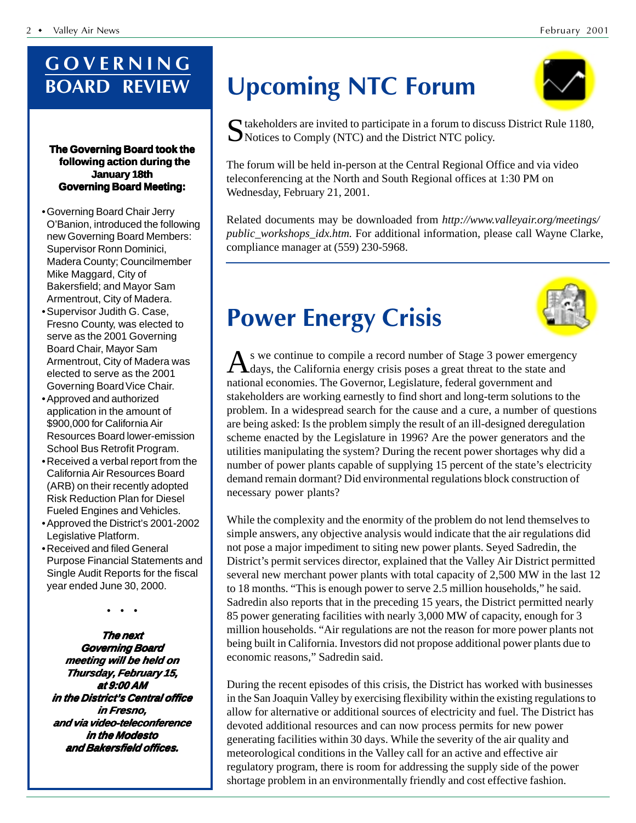### GOVERNING **BOARD REVIEW**

#### **The Governing Board took the following action during the January 18th Governing Board Meeting:**

- •Governing Board Chair Jerry O'Banion, introduced the following new Governing Board Members: Supervisor Ronn Dominici, Madera County; Councilmember Mike Maggard, City of Bakersfield; and Mayor Sam Armentrout, City of Madera.
- •Supervisor Judith G. Case, Fresno County, was elected to serve as the 2001 Governing Board Chair, Mayor Sam Armentrout, City of Madera was elected to serve as the 2001 Governing Board Vice Chair.
- •Approved and authorized application in the amount of \$900,000 for California Air Resources Board lower-emission School Bus Retrofit Program.
- •Received a verbal report from the California Air Resources Board (ARB) on their recently adopted Risk Reduction Plan for Diesel Fueled Engines and Vehicles.
- •Approved the District's 2001-2002 Legislative Platform.
- •Received and filed General Purpose Financial Statements and Single Audit Reports for the fiscal year ended June 30, 2000.

• • •

**The next Governing Board meeting will be held on Thursday, February 15, Thursday, February at 9:00 AM in the District's Central office in Fresno, and via video-teleconference in the Modesto and Bakersfield offices. and Bakersfield offices.**

### ming NTC Forum

 $\Gamma$  takeholders are invited to participate in a forum to discuss District Rule 1180, Notices to Comply (NTC) and the District NTC policy.

The forum will be held in-person at the Central Regional Office and via video teleconferencing at the North and South Regional offices at 1:30 PM on Wednesday, February 21, 2001.

Related documents may be downloaded from *http://www.valleyair.org/meetings/ public\_workshops\_idx.htm.* For additional information, please call Wayne Clarke, compliance manager at (559) 230-5968.



### **Power Energy Crisis**

As we continue to compile a record number of Stage 3 power emergency<br>days, the California energy crisis poses a great threat to the state and national economies. The Governor, Legislature, federal government and stakeholders are working earnestly to find short and long-term solutions to the problem. In a widespread search for the cause and a cure, a number of questions are being asked: Is the problem simply the result of an ill-designed deregulation scheme enacted by the Legislature in 1996? Are the power generators and the utilities manipulating the system? During the recent power shortages why did a number of power plants capable of supplying 15 percent of the state's electricity demand remain dormant? Did environmental regulations block construction of necessary power plants?

While the complexity and the enormity of the problem do not lend themselves to simple answers, any objective analysis would indicate that the air regulations did not pose a major impediment to siting new power plants. Seyed Sadredin, the District's permit services director, explained that the Valley Air District permitted several new merchant power plants with total capacity of 2,500 MW in the last 12 to 18 months. "This is enough power to serve 2.5 million households," he said. Sadredin also reports that in the preceding 15 years, the District permitted nearly 85 power generating facilities with nearly 3,000 MW of capacity, enough for 3 million households. "Air regulations are not the reason for more power plants not being built in California. Investors did not propose additional power plants due to economic reasons," Sadredin said.

During the recent episodes of this crisis, the District has worked with businesses in the San Joaquin Valley by exercising flexibility within the existing regulations to allow for alternative or additional sources of electricity and fuel. The District has devoted additional resources and can now process permits for new power generating facilities within 30 days. While the severity of the air quality and meteorological conditions in the Valley call for an active and effective air regulatory program, there is room for addressing the supply side of the power shortage problem in an environmentally friendly and cost effective fashion.